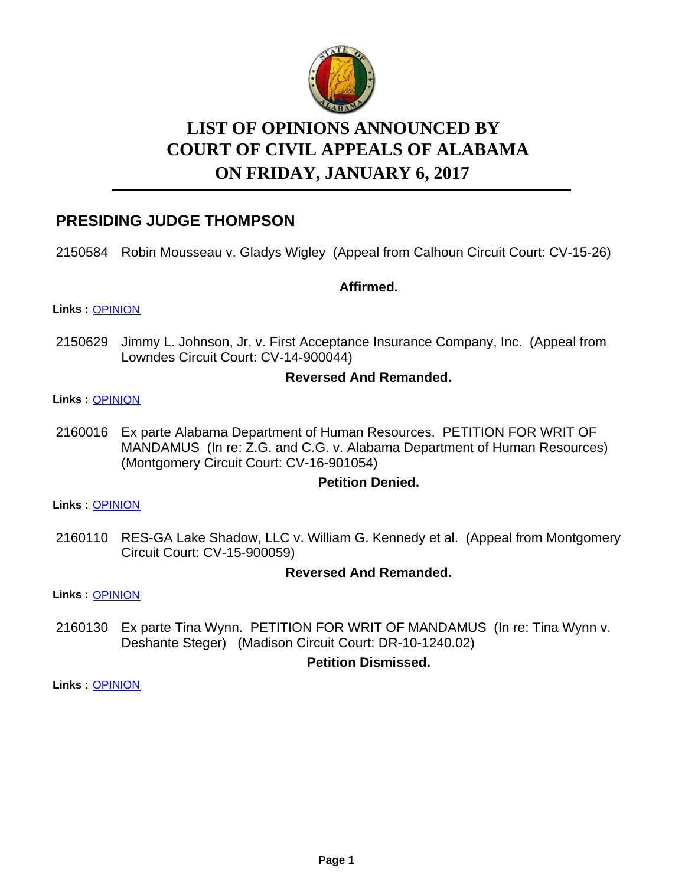

# **LIST OF OPINIONS ANNOUNCED BY ON FRIDAY, JANUARY 6, 2017 COURT OF CIVIL APPEALS OF ALABAMA**

# **PRESIDING JUDGE THOMPSON**

2150584 Robin Mousseau v. Gladys Wigley (Appeal from Calhoun Circuit Court: CV-15-26)

### **Affirmed.**

#### **Links :** [OPINION](https://acis.alabama.gov/displaydocs.cfm?no=779287&event=4TH0LQZFH)

2150629 Jimmy L. Johnson, Jr. v. First Acceptance Insurance Company, Inc. (Appeal from Lowndes Circuit Court: CV-14-900044)

### **Reversed And Remanded.**

#### **Links :** [OPINION](https://acis.alabama.gov/displaydocs.cfm?no=779288&event=4TH0LQZLI)

2160016 Ex parte Alabama Department of Human Resources. PETITION FOR WRIT OF MANDAMUS (In re: Z.G. and C.G. v. Alabama Department of Human Resources) (Montgomery Circuit Court: CV-16-901054)

### **Petition Denied.**

**Links :** [OPINION](https://acis.alabama.gov/displaydocs.cfm?no=779292&event=4TH0LR082)

2160110 RES-GA Lake Shadow, LLC v. William G. Kennedy et al. (Appeal from Montgomery Circuit Court: CV-15-900059)

#### **Reversed And Remanded.**

**Links :** [OPINION](https://acis.alabama.gov/displaydocs.cfm?no=779293&event=4TH0LR0EJ)

2160130 Ex parte Tina Wynn. PETITION FOR WRIT OF MANDAMUS (In re: Tina Wynn v. Deshante Steger) (Madison Circuit Court: DR-10-1240.02)

### **Petition Dismissed.**

**Links :** [OPINION](https://acis.alabama.gov/displaydocs.cfm?no=779295&event=4TH0LR0PE)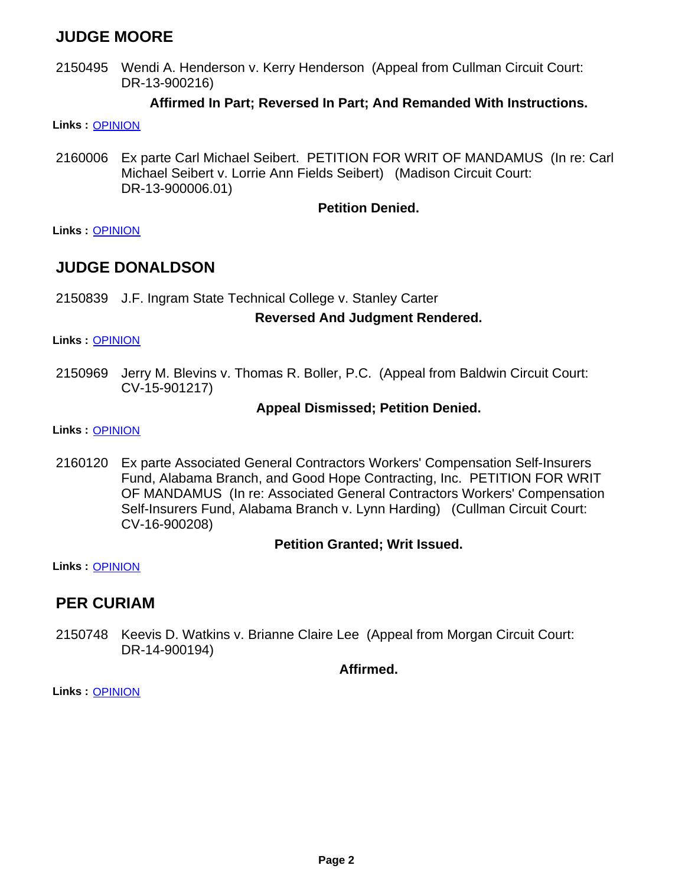## **JUDGE MOORE**

2150495 Wendi A. Henderson v. Kerry Henderson (Appeal from Cullman Circuit Court: DR-13-900216)

### **Affirmed In Part; Reversed In Part; And Remanded With Instructions.**

- **Links :** [OPINION](https://acis.alabama.gov/displaydocs.cfm?no=779286&event=4TH0LQZA8)
- Ex parte Carl Michael Seibert. PETITION FOR WRIT OF MANDAMUS (In re: Carl Michael Seibert v. Lorrie Ann Fields Seibert) (Madison Circuit Court: DR-13-900006.01) 2160006

### **Petition Denied.**

**Links :** [OPINION](https://acis.alabama.gov/displaydocs.cfm?no=779291&event=4TH0LR02F)

### **JUDGE DONALDSON**

2150839 J.F. Ingram State Technical College v. Stanley Carter

### **Reversed And Judgment Rendered.**

**Links :** [OPINION](https://acis.alabama.gov/displaydocs.cfm?no=779290&event=4TH0LQZWS)

2150969 Jerry M. Blevins v. Thomas R. Boller, P.C. (Appeal from Baldwin Circuit Court: CV-15-901217)

### **Appeal Dismissed; Petition Denied.**

**Links :** [OPINION](https://acis.alabama.gov/displaydocs.cfm?no=779318&event=4TH0MWJSR)

2160120 Ex parte Associated General Contractors Workers' Compensation Self-Insurers Fund, Alabama Branch, and Good Hope Contracting, Inc. PETITION FOR WRIT OF MANDAMUS (In re: Associated General Contractors Workers' Compensation Self-Insurers Fund, Alabama Branch v. Lynn Harding) (Cullman Circuit Court: CV-16-900208)

### **Petition Granted; Writ Issued.**

**Links :** [OPINION](https://acis.alabama.gov/displaydocs.cfm?no=779294&event=4TH0LR0JR)

### **PER CURIAM**

2150748 Keevis D. Watkins v. Brianne Claire Lee (Appeal from Morgan Circuit Court: DR-14-900194)

**Affirmed.**

**Links :** [OPINION](https://acis.alabama.gov/displaydocs.cfm?no=779289&event=4TH0LQZQQ)